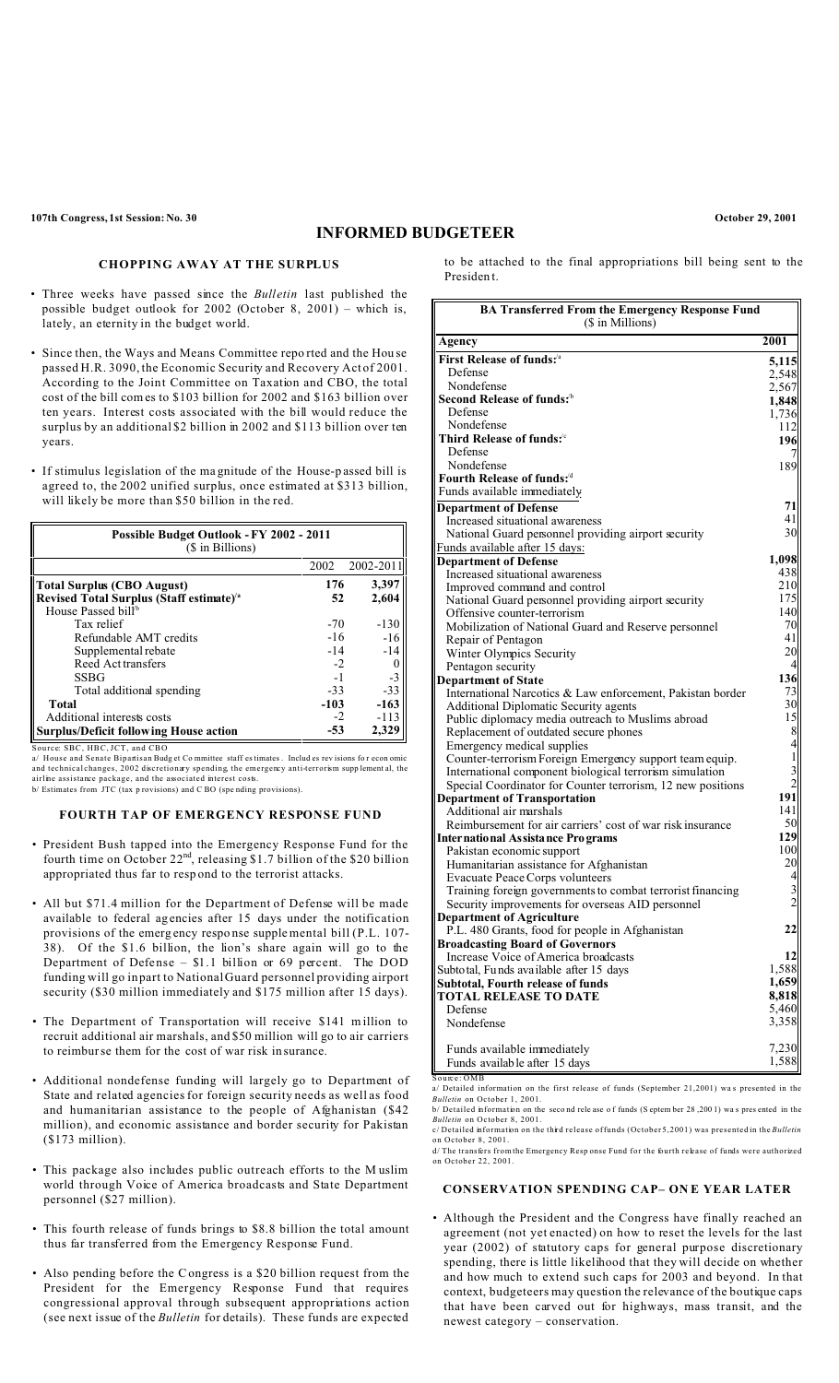# **INFORMED BUDGETEER**

### **CHOPPING AWAY AT THE SURPLUS**

- Three weeks have passed since the *Bulletin* last published the possible budget outlook for 2002 (October 8, 2001) – which is, lately, an eternity in the budget world.
- Since then, the Ways and Means Committee repo rted and the Hou se passed H.R. 3090, the Economic Security and Recovery Act of 2001. According to the Joint Committee on Taxation and CBO, the total cost of the bill comes to \$103 billion for 2002 and \$163 billion over ten years. Interest costs associated with the bill would reduce the surplus by an additional \$2 billion in 2002 and \$113 billion over ten years.
- If stimulus legislation of the ma gnitude of the House-p assed bill is agreed to, the 2002 unified surplus, once estimated at \$313 billion, will likely be more than \$50 billion in the red.

| Possible Budget Outlook - FY 2002 - 2011<br>(\$ in Billions) |        |           |  |
|--------------------------------------------------------------|--------|-----------|--|
|                                                              | 2002   | 2002-2011 |  |
| <b>Total Surplus (CBO August)</b>                            | 176    | 3,397     |  |
| Revised Total Surplus (Staff estimate) <sup>/a</sup>         | 52     | 2.604     |  |
| House Passed bill <sup>b</sup>                               |        |           |  |
| Tax relief                                                   | $-70$  | $-130$    |  |
| Refundable AMT credits                                       | $-16$  | $-16$     |  |
| Supplemental rebate                                          | $-14$  | $-14$     |  |
| Reed Act transfers                                           | $-2$   |           |  |
| <b>SSBG</b>                                                  | $-1$   | $-3$      |  |
| Total additional spending                                    | $-33$  | $-33$     |  |
| <b>Total</b>                                                 | $-103$ | $-163$    |  |
| Additional interests costs                                   | $-2$   | $-113$    |  |
| <b>Surplus/Deficit following House action</b>                | -53    | 2,329     |  |

Source: SBC, HBC, JCT, and CBO

a/ House and Senate Bipantisan Budget Committee staff es timates . Includ es revisions for econ omic<br>and technical changes, 2002 discretionary spending, the emergency anti-terrorism supplement al, the<br>airline assistance pa

### **FOURTH TAP OF EMERGENCY RESPONSE FUND**

- President Bush tapped into the Emergency Response Fund for the fourth time on October 22<sup>nd</sup>, releasing \$1.7 billion of the \$20 billion appropriated thus far to resp ond to the terrorist attacks.
- All but \$71.4 million for the Department of Defense will be made available to federal ag encies after 15 days under the notification provisions of the emerg ency respo nse supplemental bill (P.L. 107- 38). Of the \$1.6 billion, the lion's share again will go to the Department of Defense – \$1.1 billion or 69 percent. The DOD funding will go in part to National Guard personnel providing airport security (\$30 million immediately and \$175 million after 15 days).
- The Department of Transportation will receive \$141 m illion to recruit additional air marshals, and \$50 million will go to air carriers to reimburse them for the cost of war risk in surance.
- Additional nondefense funding will largely go to Department of State and related agencies for foreign security needs as well as food and humanitarian assistance to the people of Afghanistan (\$42 million), and economic assistance and border security for Pakistan (\$173 million).
- This package also includes public outreach efforts to the M uslim world through Voice of America broadcasts and State Department personnel (\$27 million).
- This fourth release of funds brings to \$8.8 billion the total amount thus far transferred from the Emergency Response Fund.
- Also pending before the Congress is a \$20 billion request from the President for the Emergency Response Fund that requires congressional approval through subsequent appropriations action (see next issue of the *Bulletin* for details). These funds are expected

to be attached to the final appropriations bill being sent to the Presiden t.

| <b>BA Transferred From the Emergency Response Fund</b><br>(\$ in Millions)                                     |                |  |
|----------------------------------------------------------------------------------------------------------------|----------------|--|
| Agency                                                                                                         | 2001           |  |
| First Release of funds: <sup>/a</sup>                                                                          | 5,115          |  |
| Defense                                                                                                        | 2,548          |  |
| Nondefense                                                                                                     | 2,567          |  |
| Second Release of funds: $b$                                                                                   | 1,848          |  |
| Defense                                                                                                        | 1,736          |  |
| Nondefense                                                                                                     | 112            |  |
| Third Release of funds:                                                                                        | 196            |  |
| Defense                                                                                                        |                |  |
| Nondefense                                                                                                     | 189            |  |
| Fourth Release of funds: $^{\rm d}$                                                                            |                |  |
| Funds available immediately                                                                                    |                |  |
| <b>Department of Defense</b>                                                                                   | 71             |  |
| Increased situational awareness                                                                                | 41             |  |
| National Guard personnel providing airport security                                                            | 30             |  |
| Funds available after 15 days:                                                                                 |                |  |
| <b>Department of Defense</b>                                                                                   | 1,098          |  |
| Increased situational awareness                                                                                | 438<br>210     |  |
| Improved command and control                                                                                   | 175            |  |
| National Guard personnel providing airport security                                                            | 140            |  |
| Offensive counter-terrorism<br>Mobilization of National Guard and Reserve personnel                            | 70             |  |
| Repair of Pentagon                                                                                             | 41             |  |
| Winter Olympics Security                                                                                       | 20             |  |
| Pentagon security                                                                                              | 4              |  |
| <b>Department of State</b>                                                                                     | 136            |  |
| International Narcotics & Law enforcement, Pakistan border                                                     | 73             |  |
| Additional Diplomatic Security agents                                                                          | 30             |  |
| Public diplomacy media outreach to Muslims abroad                                                              | 15             |  |
| Replacement of outdated secure phones                                                                          | 8              |  |
| Emergency medical supplies                                                                                     | $\overline{4}$ |  |
| Counter-terrorism Foreign Emergency support team equip.                                                        | 1              |  |
| International component biological terrorism simulation                                                        |                |  |
| Special Coordinator for Counter terrorism, 12 new positions                                                    | 2              |  |
| <b>Department of Transportation</b>                                                                            | 191            |  |
| Additional air marshals                                                                                        | 141            |  |
| Reimbursement for air carriers' cost of war risk insurance                                                     | 50             |  |
| Inter natio nal As sista nce Pro grams                                                                         | 129            |  |
| Pakistan economic support                                                                                      | 100<br>20      |  |
| Humanitarian assistance for Afghanistan                                                                        |                |  |
| Evacuate Peace Corps volunteers                                                                                | 4<br>3         |  |
| Training foreign governments to combat terrorist financing<br>Security improvements for overseas AID personnel | $\overline{2}$ |  |
|                                                                                                                |                |  |
| <b>Department of Agriculture</b><br>P.L. 480 Grants, food for people in Afghanistan                            | 22             |  |
| <b>Broadcasting Board of Governors</b>                                                                         |                |  |
| Increase Voice of America broadcasts                                                                           | 12             |  |
| Subto tal, Funds available after 15 days                                                                       | 1,588          |  |
| Subtotal, Fourth release of funds                                                                              | 1,659          |  |
| <b>TOTAL RELEASE TO DATE</b>                                                                                   | 8,818          |  |
| Defense                                                                                                        | 5,460          |  |
| Nondefense                                                                                                     | 3,358          |  |
|                                                                                                                |                |  |
| Funds available immediately                                                                                    | 7,230          |  |
| Funds available after 15 days                                                                                  | 1,588          |  |

a/ Detailed information on the first release of funds (September 21,2001) wa s presented in the *Bulletin* on October 1, 2001.  $\frac{1}{2}$  b/ Detailed information on the second release of funds (S eptem ber 28, 200 1) was presented in the

*Bulletin* on October 8, 2001. c/ Detailed information on the third release of funds (October 5,2001) was presented in the *Bulletin*

on October 8, 2001. d/ The transfers from the Emergency Resp onse Fund for the fourth release of funds were authorized on October 22, 2001.

#### **CONSERVATION SPENDING CAP– ON E YEAR LATER**

• Although the President and the Congress have finally reached an agreement (not yet enacted) on how to reset the levels for the last year (2002) of statutory caps for general purpose discretionary spending, there is little likelihood that they will decide on whether and how much to extend such caps for 2003 and beyond. In that context, budgeteers may question the relevance of the boutique caps that have been carved out for highways, mass transit, and the newest category – conservation.